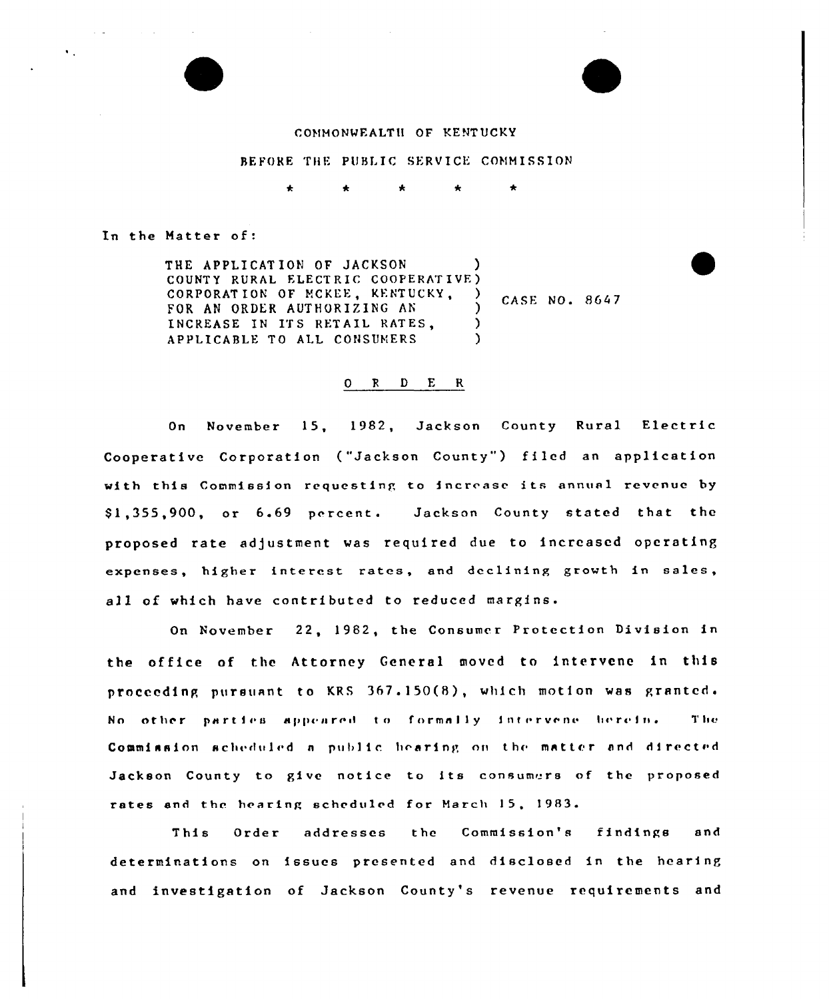

#### BEFORE THE PUBLIC SERVICE COMMISSION

In the Matter of

 $\sim 10^{11}$  km s  $^{-1}$ 

 $\bullet$  .

THE APPLICATION OF JACKSON COUNTY RURAL ELECTRIC COOPERATIVE CORPORATION OF MCKEE, KENTUCKY, FOR AN ORDER AUTHORIZING AN INCREASE IN ITS RETAIL RATES, APPLICABLE TO ALL CONSUMERS ) )  $\big\}$  CASE NO. 8647 ) )

#### 0 <sup>R</sup> <sup>D</sup> E R

On November 15, 1982, Jackson County Rural Electric Cooperative Corporation ("Jackson County") filed an application with this Commission requesting to increase its annual revenue by S1,355,900, or 6.69 percent. Jackson County stated that the proposed rate adjustment was required due to increased operating expenses, higher interest rates, and declining growth in sales, all of which have contributed to reduced margins.

On November 22, 1982, the Consumer Protection Division in the office of the Attorney General moved to intervene in this proceeding pursuant to KRS  $367.150(8)$ , which motion was granted. No other parties appeared to formally intervene herein. The Commission scheduled a public hearing on the matter and directed Jackson County to give notice to its consumers of the proposed rates and the hearing scheduled for March 15, 1983.

This Order addresses the Commission's findings and determinations on issues presented and disclosed in the hearing and investigation of Jackson County's revenue requirements and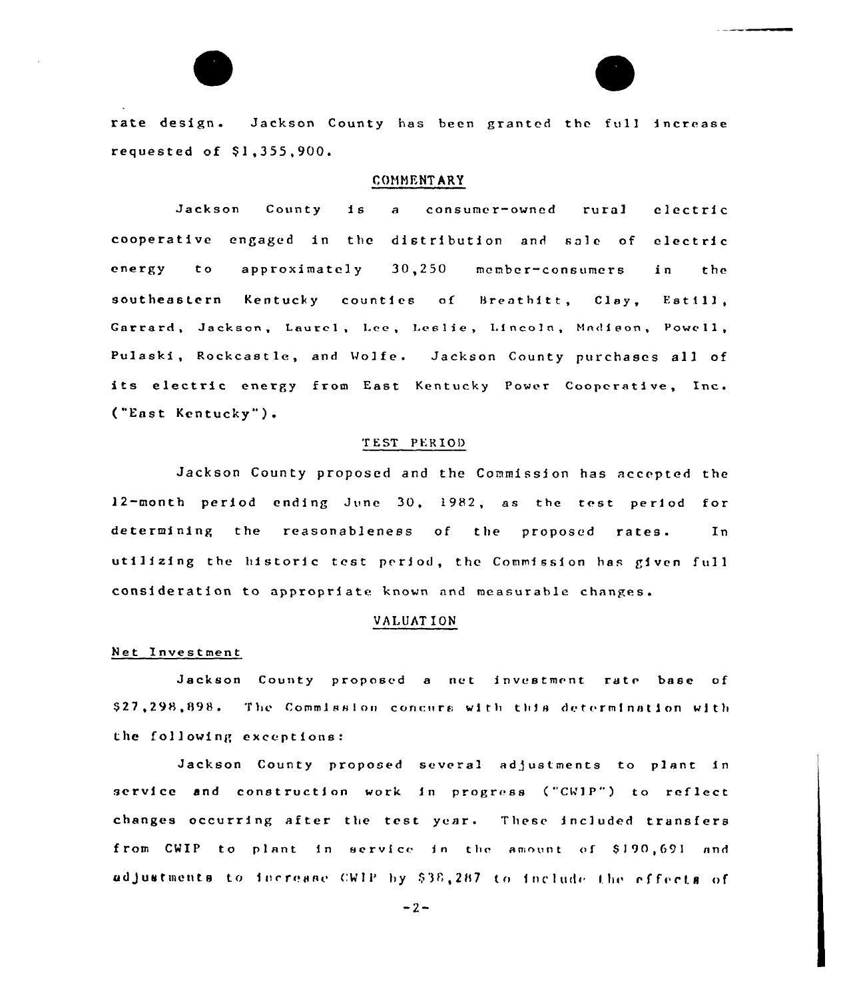rate design. Jackson County has been granted the full increase requested of  $$1,355,900$ .

### COMMENTARY

Jackson County is <sup>a</sup> consumer-owned rural electric cooperative engaged ln the distribution and sale of electrfc energy to approximately 30,250 member-consumers in the southeastern Kentucky counties of Breathitt, Clay, Estill, Garrard, Jackson, Laurel, Lee, Leslie, Lincoln, Madison, Powell, Pulaski, Rockcastle, and Wolfe. Jackson County purchases all of its electric energy from East Kentucky Power Cooperative, Inc. ("East Kentucky" ).

### T EST PER IOI)

Jackson County proposed and the Commission has accepted the 12-month period ending June 30, 1982, as the test period for determining the reasonableness of the proposed rates. In utilizing the historic test period, the Commission has given full consideration to approprf ate known and measurable changes.

## VALUATION

#### Net Investment

Jackson County proposed a net investment rate base of \$27,298,898. The Commission concurs with this determination with the following exceptions:

Jackson County proposed several adjustments to plant in service and construction work in progress ("CWIP") to reflect changes occurring after the test year. These included transfers from CWIP to plant in service in the amount of \$190,691 and adjustments to fecrease CWIP by \$38,287 to include the effects of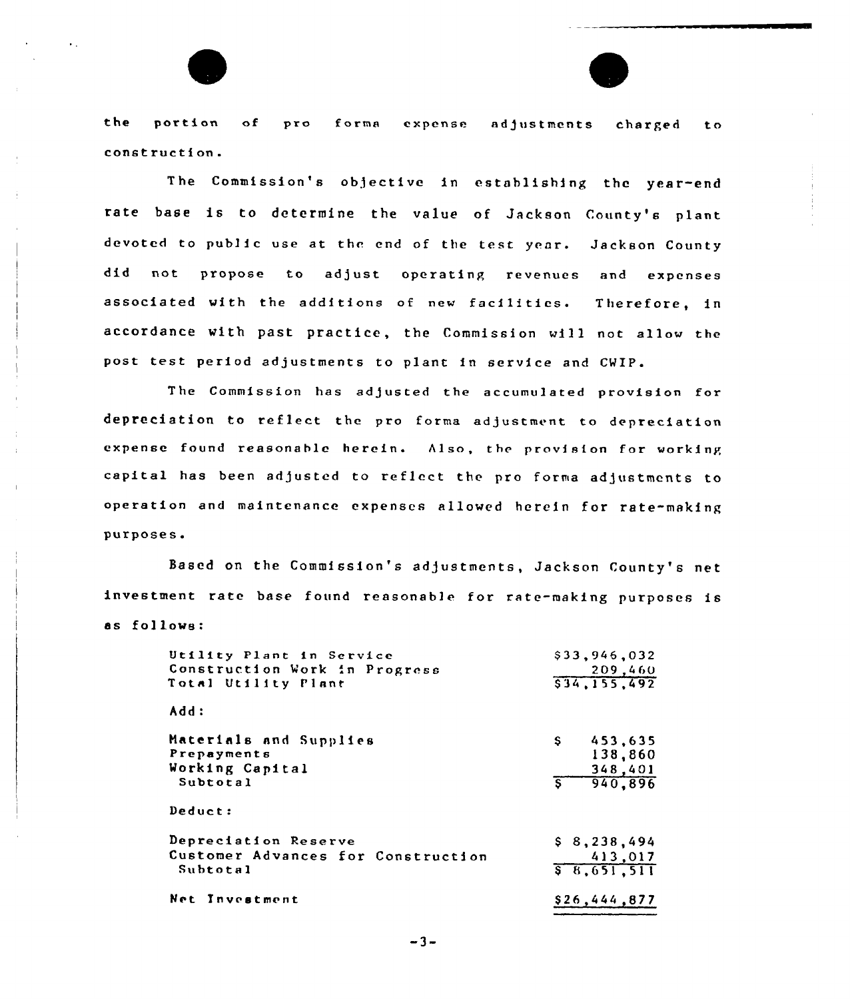the portion of pro forma expense adjustments charged to construction.

The Commission's objective in establishing thc year-end rate base is to determine the value of Jackson County's plant devoted to public use at the end of the test year. Jackson County did not propose to adjust operating revenues and expenses associated with the additions of new facilities. Therefore, in accordance with past practice, the Commission will not allow the post test period adjustments to plant in service and CWIP.

The Commission has adjusted the accumulated provision for depreciation to reflect the pro forma adjustment to depreciation expense found reasonable herein. Also, the provision for working capital has been adjusted to reflect the pro forma adjustments to operation and maintenance expenses allowed herein for rate-making purposes.

Based on the Commission's adjustments, Jackson County's net investment rate base found reasonable for rate-making purposes is as follows: follows.'tility

| Utility Plant in Service           | \$33,946,032  |
|------------------------------------|---------------|
| Construction Work in Progress      | 209,460       |
| Total Utility Plant                | 534, 155, 492 |
| Add:                               |               |
| Materials and Supplies             | \$453.635     |
| Prepayments                        | 138,860       |
| Working Capital                    | 348,401       |
| Subtotal                           | 5, 940, 896   |
| Deduct:                            |               |
| Depreciation Reserve               | \$8, 238, 494 |
| Customer Advances for Construction | 413,017       |
| Subtotal                           | 5,651,511     |
| Net Investment                     | \$26,444,877  |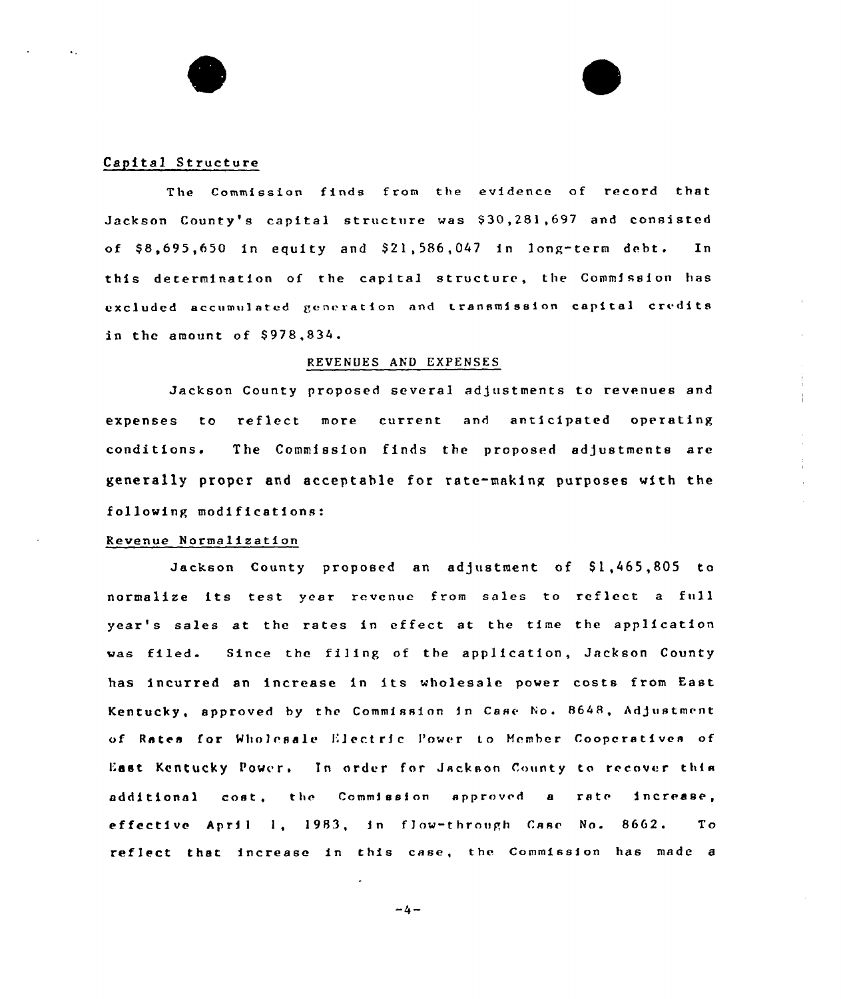#### Capital Structure

The Commission finds from the evidence of record that Jackson County's capital structure was \$30,281,697 and consisted of  $$8,695,650$  in equity and  $$21,586,047$  in long-term debt. In this determination of the capital structure, the Commission has excluded accumulated generation and transmission capital credits in the amount of  $$978,834.$ 

#### REVENUES AND EXPENSES

Jackson County proposed several adjustments to revenues and expenses to reflect more current and anticipated operating conditions <sup>~</sup> The Commission finds the proposed adjustments are generally proper and acceptable for rate-making purposes with the following modifications:

## Revenue Normalization

Jackson County proposed an adjustment of \$1,465,805 to normalize its test year revenue from sales to reflect <sup>a</sup> full year's sales at the rates in effect at the time the application was filed. Since the filing of the application, Jackson County has incurred an increase in its wholesale power costs from East Kentucky, approved by the Commission in Case No. 8648, Adjustment of Rates for Wholesale Electric Power to Member Coopcratives of East Kentucky Power. In order for Jackson County to recover this additional cost, the Commission approved a rate increase, effective April 1, 1983, in flow-through Case No. 8662. To reflect that increase in this ease, the Commission has made <sup>a</sup>

 $-4-$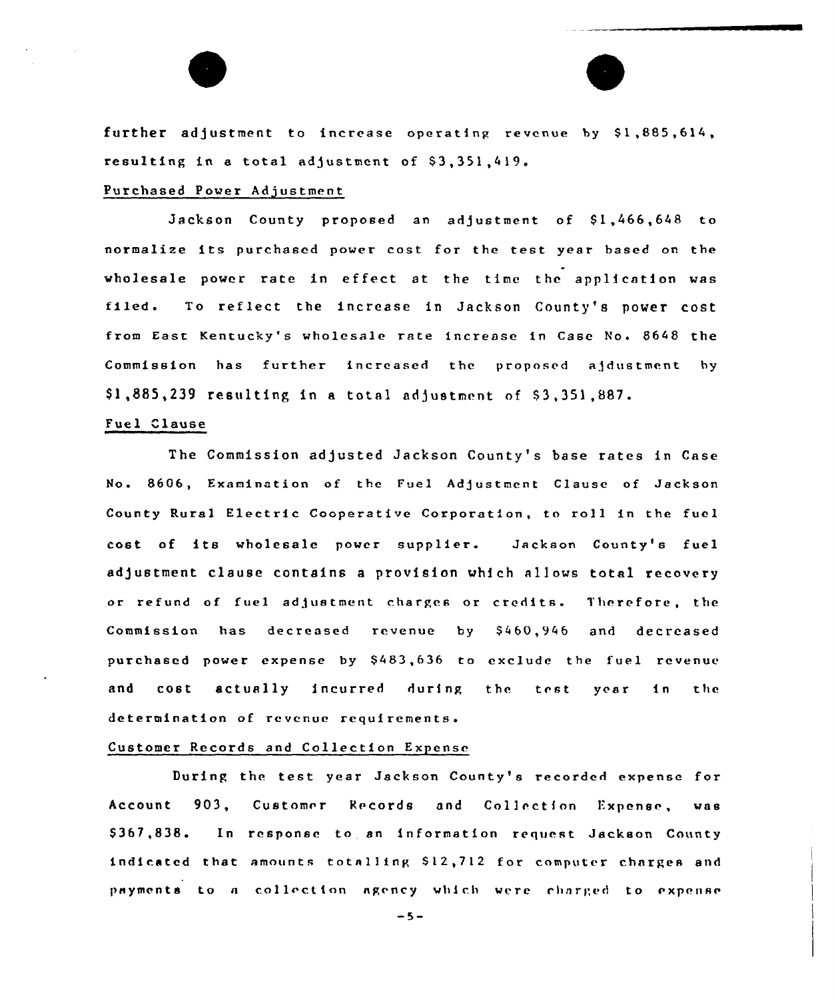further adjustment to increase operating revenue by  $$1,885,614,$ resulting in a total adjustment of  $$3,351,419$ .

### Purchased Power Adjustment

Jackson County proposed an adjustment of \$1,466,648 to normalize its purchased power cost for the test year based on the wholesale power rate in effect at the time the application was filed. To reflect the increase in Jackson County's power cost from East Kentucky's wholesale rate increase in Case No. 8648 the Commission has further increased the proposed ajdustment by \$1,885,239 resulting in a total adjustment of \$3,351,887.

## Fuel Clause

The Commission adjusted Jackson County's base rates in Case No. 8606, Examination of the Fuel Adjustment Clause of Jackson County Rural Electric Cooperative Corporation, to roll in the fuel cost of its wholesale power supplier. Jackson County's fuel adjustment clause contains <sup>a</sup> provision which allows total recovery or refund of fuel adjustment charges or credits. Therefore, the Commission has decreased revenue by \$460,946 and decreased purchased power expense by \$ 483,636 ta exclude the fuel revenue and cost actually incurred during the test year in the determination of revenue requirements.

## Customer Records and Collection Expense

During the test year Jackson County's recorded expense for Account 903, Customer Records and Collection Expense, was \$367,838. In response to an information request Jackson County indicated that amounts totalling \$12,712 for computer charges and payments to a collection agency which were charged to expense

 $-5-$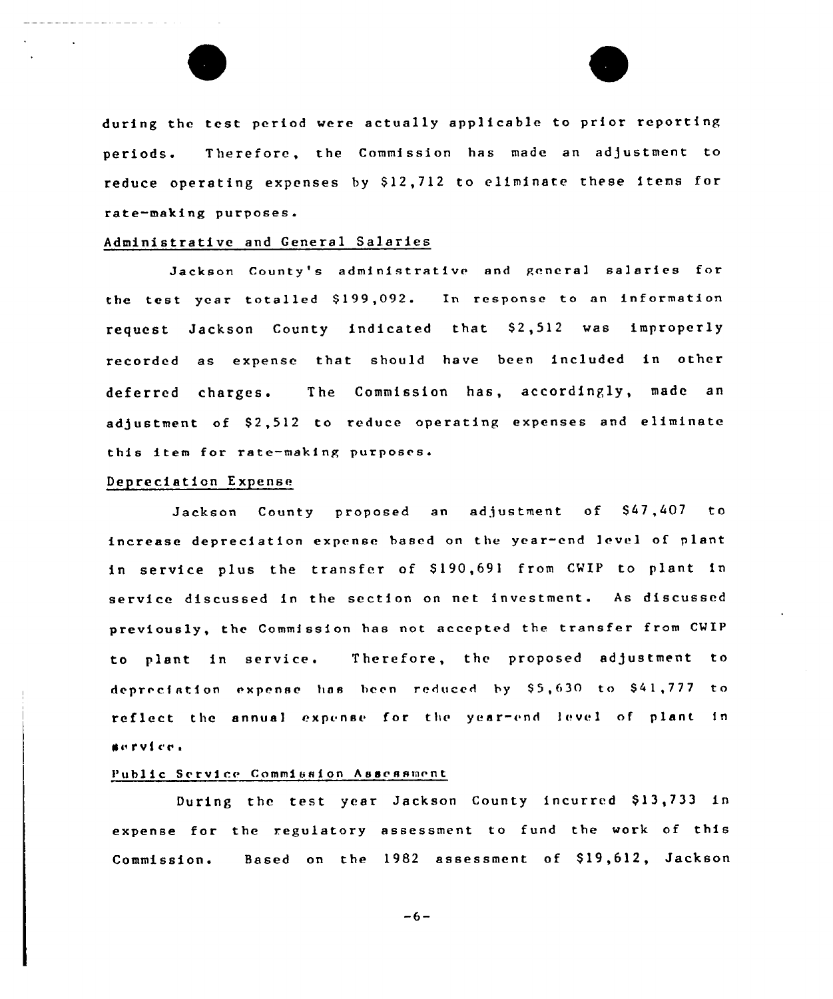

during the test period were actually applicable to prior reporting periods. Therefore, the Commission has made an adjustment to reduce operating expenses by \$12,712 to eliminate these items for rate-mating purposes.

#### Administrative and General Salaries

Jackson County's administrative and general salaries for the test year totalled \$199,092. In response to an information request Jackson County indicated that \$2,512 was improperly recorded as expense that should have been included in other deferred charges. The Commission has, accordingly, made an adjustment of \$2,512 to reduce operating expenses and eliminate this item for rate-making purposes.

#### Depreciation Expense

Jackson County proposed an adjustment of \$47,407 to increase depreciation expense based on the year-end level of plant in service plus the transfer of S190,691 from CWIP to plant in service discussed in the section on net investment. As discussed previously, the Commission has not accepted the transfer from CWIP to plant in service. Therefore, the proposed adjustment to depreciation expense has been reduced by \$5,630 to \$41,777 to reflect the annual expense for the year-end level of plant in Nn r v i c'e <sup>~</sup>

#### Public Service Commission Assessment

During the test year Jackson County incurred \$13,733 in expense for the regulatory assessment to fund the work of this Commission. Based on the 1982 assessment of \$19,612, Jackson

 $-6-$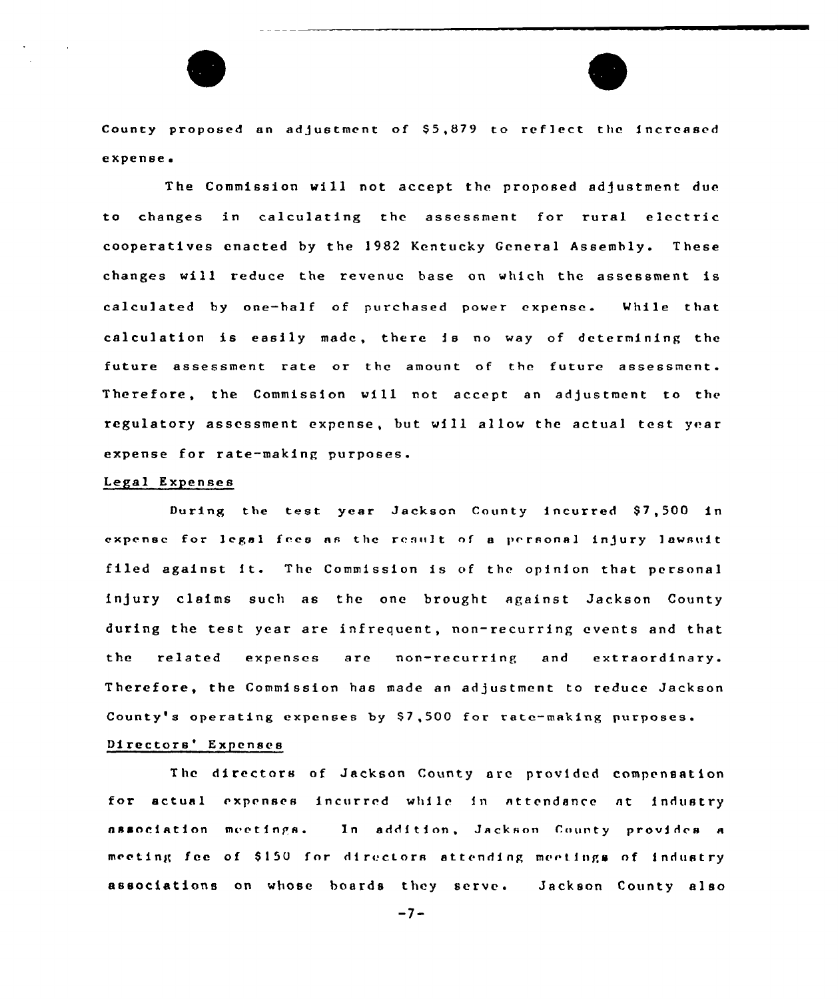

County proposed an adjustment of \$5,879 to reflect the increased expense.

The Commission will not accept the proposed adjustment due to changes in calculating the assessment for rural electric cooperatives enacted by the 1982 Kentucky General Assembly. These changes will reduce the revenue base on which the assessment is calculated by one-half of purchased power expense. While that calculation is easily made, there is no way of determining the future assessment rate or the amount of the future assessment. Therefore, the Commission will not accept an adjustment to the regulatory assessment expense, but will allow the actual test year expense for rate-making purposes.

#### Legal Expenses

During the test year Jackson County incurred \$7,500 in expense for legal fees as the result of a personal injury lawsuit filed against it. The Commission is of the opinion that personal ln)ury claims such as the one brought against Jackson County during the test year are infrequent, non-recurring events and that the related expenses are non-recurring and extraordinary. Therefore, the Commission has made an adjustment to reduce Jackson County's operating expenses by S7,500 for rate-making purposes.

# Directors' Expenses

The directors of Jackson County are provided compensation for actual expenses incurred while in attendance nt industry association meetings. In addition, Jackson County provides a meeting fee of \$150 for directors attending meetings of industry associations on whose boards they serve. Jackson County also

 $-7-$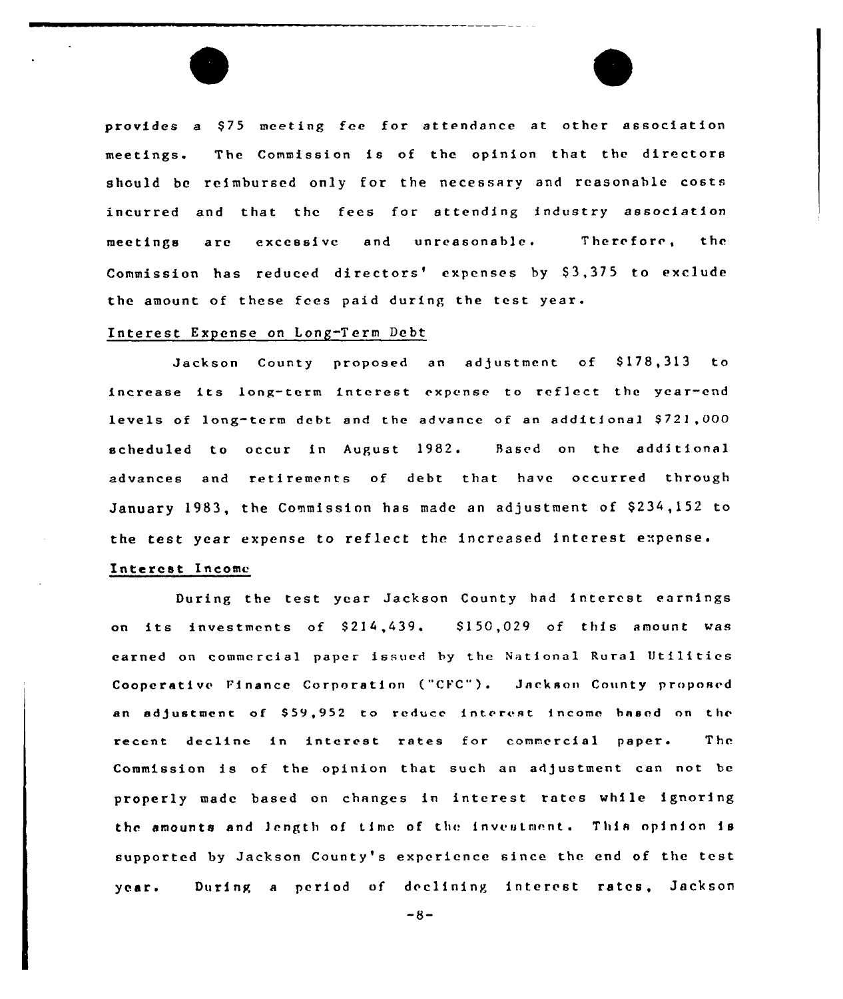provides a \$75 meeting fee for attendance at other association meetings. The Commission is of the opinion that the directors should be reimbursed only for the necessary and reasonable costs incurred and that the fees for attending industry association meetings are excessive and unreasonable. Therefore, the Commission has reduced directors' expenses by \$3,375 to exclude the amount of these fees paid during the test year.

### Interest Expense on Long-Term Debt

Jackson County proposed an adjustment of \$178,313 to increase its Long-term interest cxpcnsc to reflect the ycar-cnd levels of long-term debt and the advance of an additional \$721,000 scheduled to occur in August 1982. Based on the additional advances and retirements of debt that have occurred through January 1983, the Commission has made an adjustment of \$234,152 to the test year expense to reflect the increased interest expense.

# Interest Income

During the test year Jackson County had interest earnings on its investments of \$214,439. \$150,029 of this amount was earned on commercial paper issued by the National Rural Utilities Cooperative Finance Corporation ("CFC"). Jackson County proposed an adjustment of \$59,952 to reduce interest income based on the recent decline in interest rates for commercial paper. The Commission is of the opinion that such an adjustment can not be properly made based on changes in interest tates while ignoring the amounts and length of time of the investment. This opinion is supported by Jackson County's experience since the end of the test year. During <sup>a</sup> period of declining interest rates, Jackson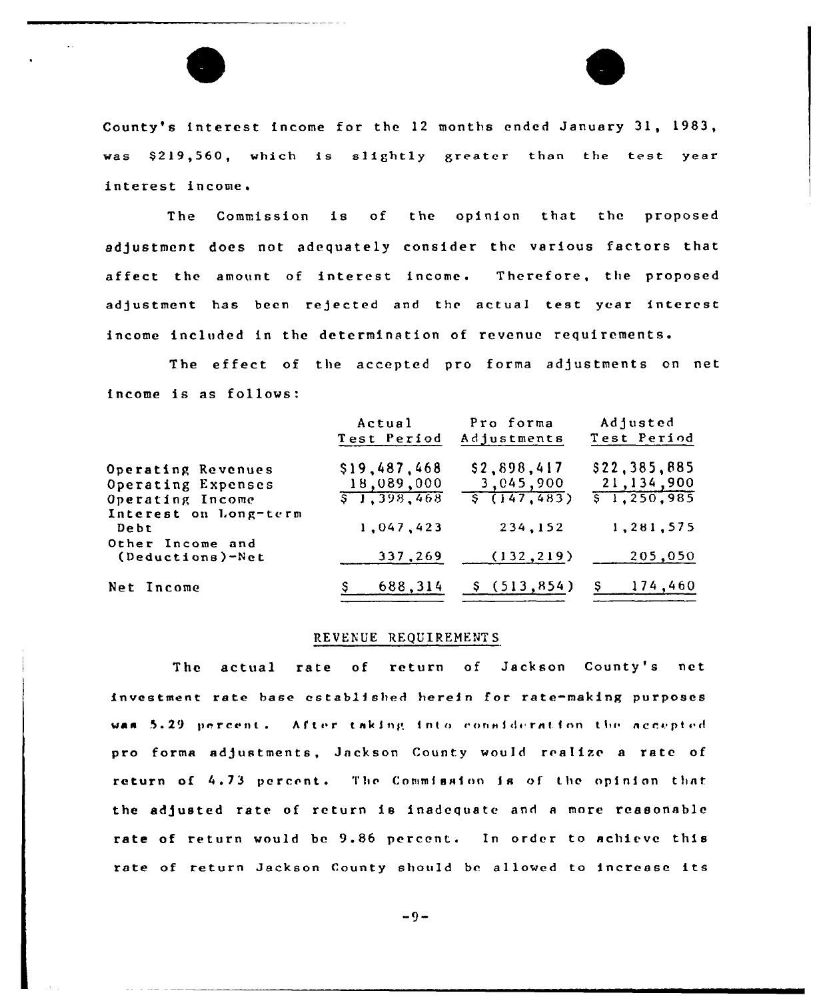

County's interest income for the 12 months ended January 31, 1983, was \$219,560, which is slightly greater than the test year interest income.

The Commission is of the opinion that the proposed adjustment does not adequately consider the various factors that affect the amount of interest income. Therefore, the proposed adjustment has been rejected and the actual test year interest income included in the determination of revenue requirements.

The effect of the accepted pro forma adjustments on net income is as follows:

|                                                              | Actual<br>Test Period                              | Pro forma<br>Adjustments                            | Adjusted<br>Test Period                                |
|--------------------------------------------------------------|----------------------------------------------------|-----------------------------------------------------|--------------------------------------------------------|
| Operating Revenues<br>Operating Expenses<br>Operating Income | \$19,487,468<br>18,089,000<br>$\sqrt{5}$ 1,398,468 | \$2,898,417<br>3,045,900<br>$\frac{1}{5}$ (147,483) | \$22,385,885<br>21,134,900<br>$\overline{5}$ 1,250,985 |
| Interest on Long-term<br>Debt<br>Other Income and            | 1,047,423                                          | 234,152                                             | 1,281,575                                              |
| (Deductions)-Net                                             | 337,269                                            | (132, 219)                                          | 205,050                                                |
| Net Income                                                   | 688,314                                            | \$(513, 854)                                        | S<br>174,460                                           |

#### REVENUE REQUIREMENTS

The actual rate of return of Jackson County's net investment rate base established herein for rate-making purposes was 5.29 percent. After taking into consideration the accepted pro forma adjustments, Jackson County would realize a rate of return of 4.73 percent. The Commission is of the opinion that the adjusted rate of return is inadequate and <sup>n</sup> more reasonable rate of return would be 9.86 percent. In order to achieve this rate of return Jackson County should be allowed to increase its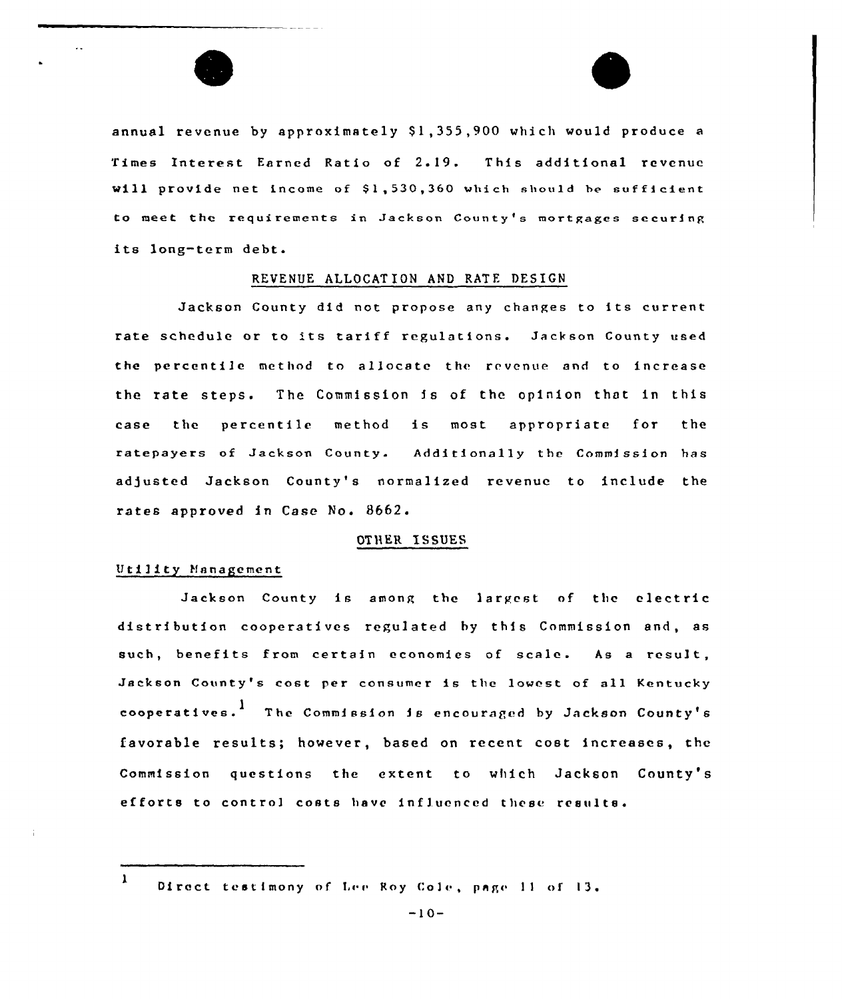

annual revenue by approximately \$1,355,900 which would produce a Times Interest Earned Ratio of 2. 19. This additional revenue will provide net income of \$1,530,360 which should be sufficient to meet the requirements in Jackson County's mortgages securinp its long-term debt.

## REVENUE ALLOCATION AND RATE DESIGN

Jackson County did not propose any changes to its current rate schedule or to its tariff regulations. Jackson County used the percentile method to allocate the revenue and to increase the rate steps. The Commission is of the opinion that in this case the percentile method is most appropriate for the ratepayers of Jackson County. Additionally the Commission has adjusted Jackson County's normalized revenue to include the rates approved in Case No. 8662.

## OTllER ISSUES

## Utility Hanagement

Jackson County is among the largest of the electric distribution cooperatives regulated by this Commission and, as such, benefits from certain economies of scale. As <sup>a</sup> result, Jackson County's cost per consumer is thc lowest of all Kentucky cooperatives.  $^1$  . The Commission is encouraged by Jackson County's favorable results; however, based on recent cost increases, the Commission questions the extent to which Jackson County's efforts to control costs have influenced these results'

 $\mathbf{1}$ Direct testimony of Lee Roy Cole, page 11 of 13.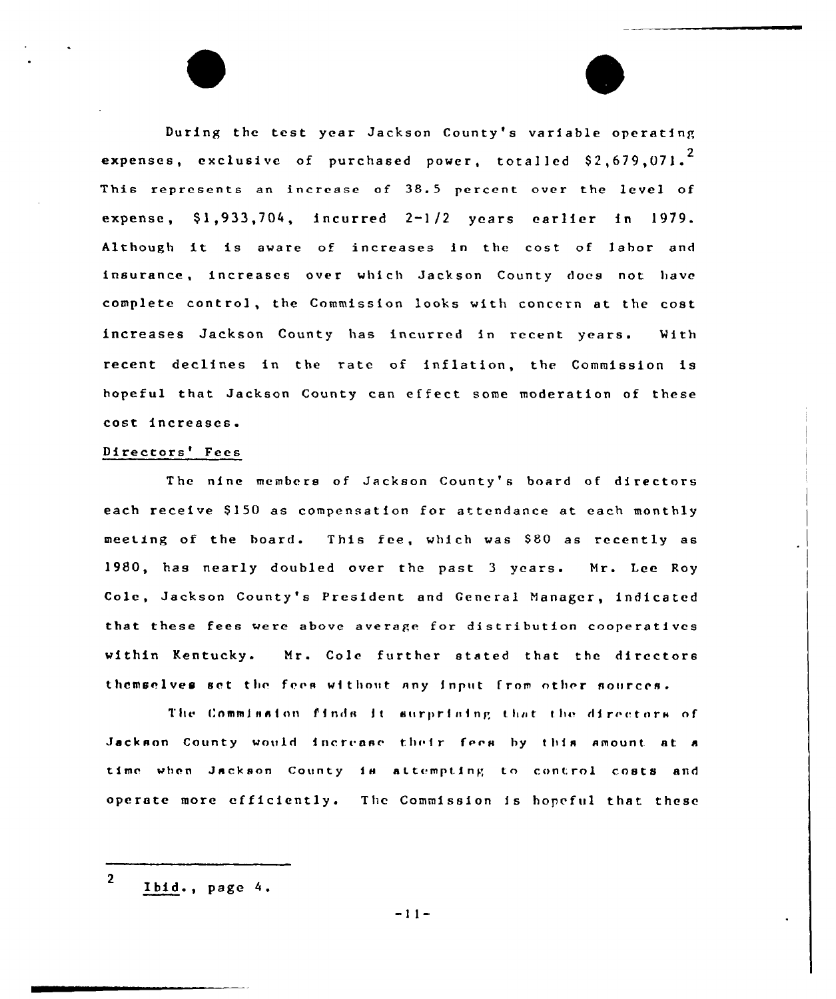During the test year Jackson County's variable operating expenses, exclusive of purchased power, totalled  $$2\,,679\,,071\,^{2}$ This represents an increase of 38.5 percent over the level of expense, \$1,933,704, incurred 2-1/2 years earlier in 1979. Although it is aware of increases in the cost of labor and insurance, increases over which Jackson County does not have complete control, the Commission looks with concern at the cost increases Jackson County has incurred in recent years. With recent declines in the rate of inflation, the Commission is hopeful that Jackson County can effect some moderation of these cost increases.

## Directors' Fees

The nine members of Jackson County's board of directors each receive \$150 as compensation for attendance at each monthly meeting of the board. This fee, which was S80 as recently as 1980, has nearly doubled over the past <sup>3</sup> years. Mr. Lee Roy Cole, Jackson County's President and General Manager, indicated that these fees were above average for distribution cooperatives within Kentucky. Mr. Cole further stated that the directors themselves set the fees without any input from other sources.

The Commission finds it surprising that the directors of Jackson County would increase their fees by this amount at a time when Jackson County is attempting to control costs and operate more efficiently. The Commission is hopeful that these

<sup>2</sup> Ibid., page 4.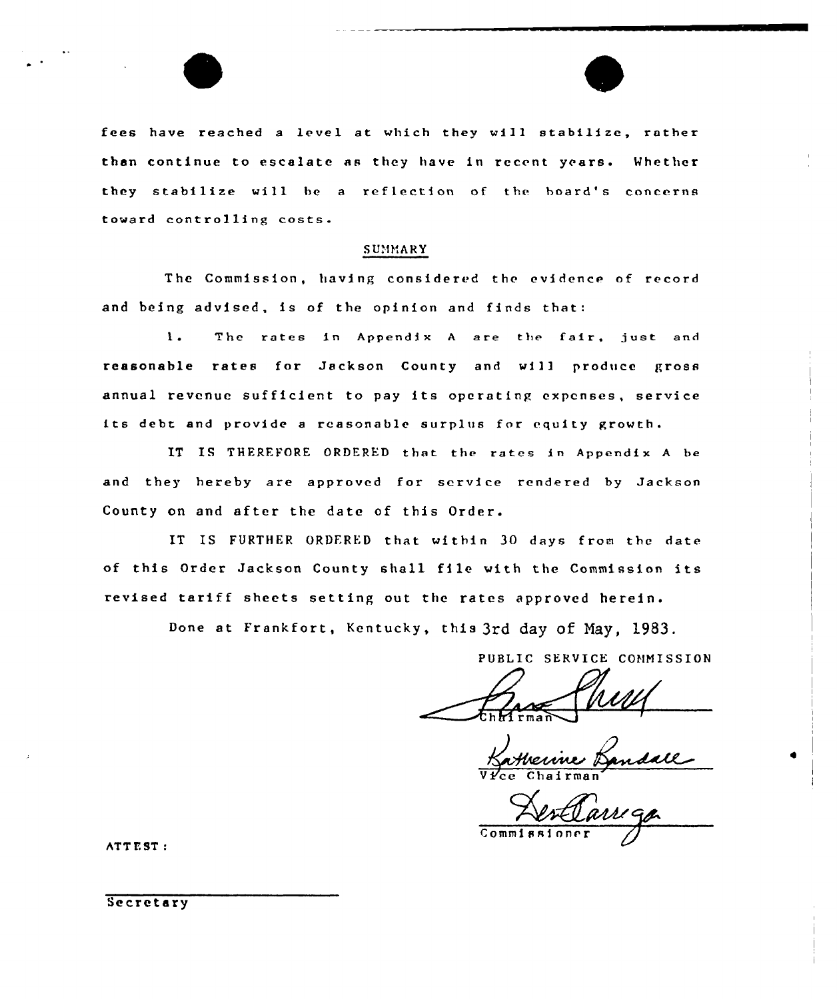fees have reached a level at which they will stabilize, rather than continue to escalate as they have in recent years. Whether they stabilize will be <sup>a</sup> reflection of the board's concerns toward controlling costs

#### SUMMARY

The Commission, having considered the evidence of record and being advised, is of the opinion and finds that:

 $\mathbf{1}$ . The rates in Appendix <sup>A</sup> are the fair, just and reasonable rates for Jackson County and will produce gross annual revenue sufficient to pay its operating expenses, service its debt and provide <sup>a</sup> reasonable surplus for equity growth.

IT IS THERFFORE ORDERED that the rates in Appendix <sup>A</sup> be and they hereby are approved for service rendered by Jackson County on and after the date of this Order.

IT IS FURTHER ORDFRED that within 3O days from the date of this Order Jackson County shall file with the Commission its revised tariff sheets setting out the rates approved herein.

Done at Frankfort, Kentucky, this 3rd day Of Nay, 1983.

PUBLIC SERVICE COHNISSION

ma n $\sim$ 

Vice Chairma

Commissinnr r

ATT E ST

Secretary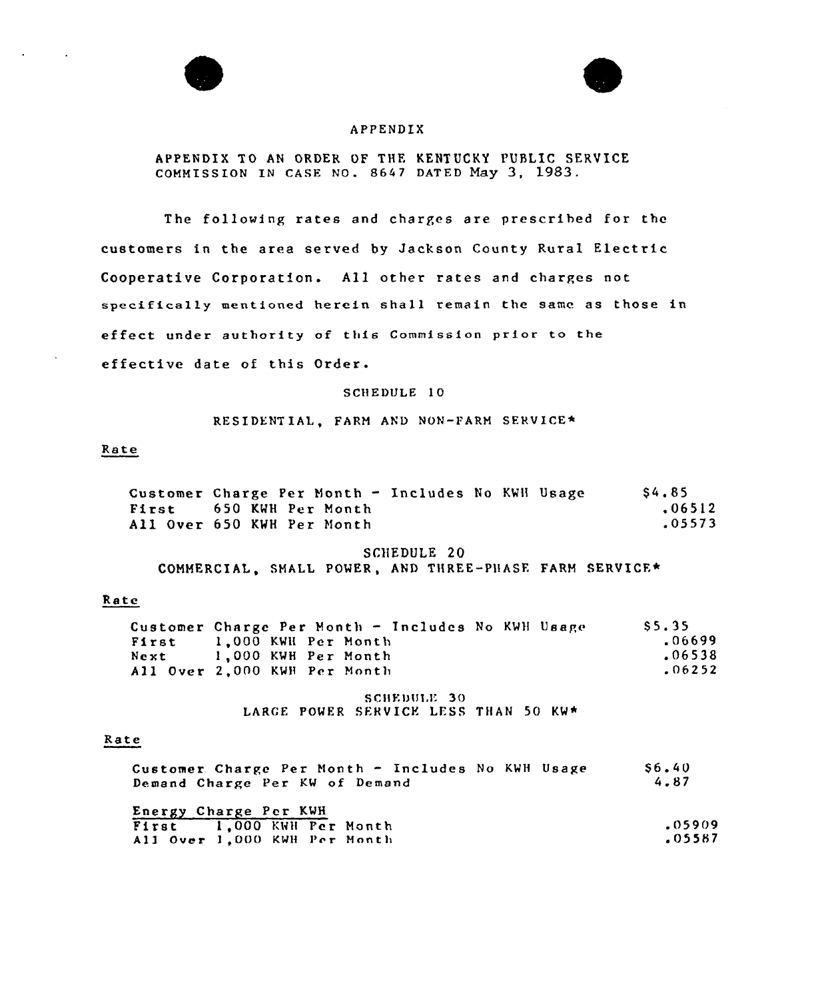



## APPENDIX

# APPENDIX TO AN ORDER OF THE KENTUCKY PUBLIC SERVICE COMMISSION IN CASE NO. 8647 DATED Nay 3, 1983.

The following rates and charges are prescribed for the customers in the area served by Jackson County Rural Electric Cooperative Corporation. All other rates and charges not specifically mentioned herein shall remain the same as those in effect under authority of this Commission prior to the effective date of this Order.

## SCHEDULE 10

#### RESIDENTIAL, FARM AND NON-FARM SERVICE\*

## Rate

| Customer Charge Per Month - Includes No KWH Usage | S4.85  |
|---------------------------------------------------|--------|
| First 650 KWH Per Month                           | .06512 |
| All Over 650 KWH Per Month                        | .05573 |

#### SCHEDULE 20

COMMERCIAL, SMALL POWER, AND THREE-PHASE FARM SERVICE\*

## Rate

|       | Customer Charge Per Month - Includes No KWH Usage | S. 5. 35 |
|-------|---------------------------------------------------|----------|
| First | 1.000 KWH Per Month                               | .06699   |
| Next  | 1,000 KWH Per Month                               | .06538   |
|       | All Over 2,000 KWH Per Month                      | .06252   |

SCHEDULE 30 LARGE POWER SERVICE LESS THAN 50 KW\*

## Rate

| Customer Charge Per Month - Includes No KWH Usage<br>Demand Charge Per KW of Demand | S <sub>6</sub> .40<br>4.87 |
|-------------------------------------------------------------------------------------|----------------------------|
| Energy Charge Per KWH                                                               |                            |
| First 1.000 KWH Per Month                                                           | .05909                     |
| All Over 1,000 KWH Per Month                                                        | .05587                     |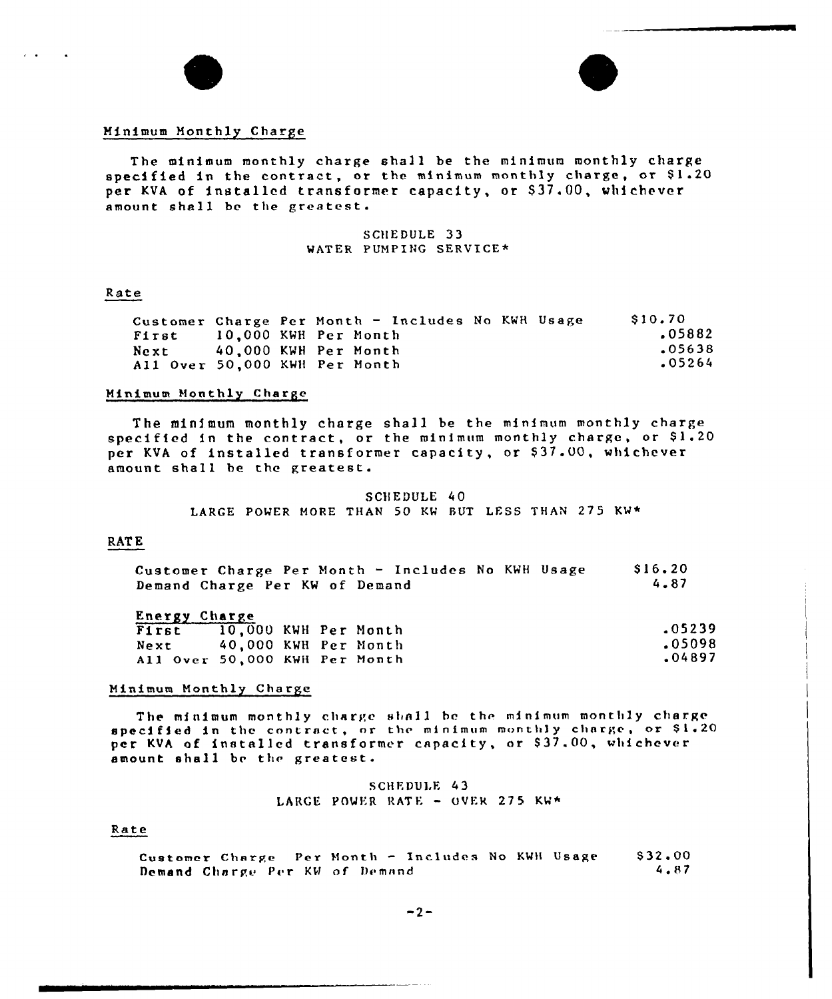



## Minimum Monthly Charge

The minimum monthly charge shall be the minimum monthly charge specified in the contract, or the minimum monthly charge, or  $$1.20$ per KVA of installed transformer capacity, or \$37.00, whichever amount shall be the greatest.

#### SCHEDULE 33 WATER PUMPING SERVICE\*

#### Rate

Customer Charge Per Month — Includes No KWH Usage First 10,000 KWH Per Month 40,000 KWH Per Month All Over 50,000 KWH Per Month \$ 10.70 <sup>~</sup> 05882 .05638 .05264

## Minimum Monthly Charge

The minimum monthly charge shall be the minimum monthly charg specified in the contract, or the minimum monthly charge, or \$1.20 perified in the contract, of the minimum monthly endered or amount shall be the greatest.

> SCHEDULE 40 LARGE POWER MORE THAN 50 KW BUT LESS THAN 275 KW+

# **RATE**

| Customer Charge Per Month - Includes No KWH Usage |  |  |  | \$16.20 |
|---------------------------------------------------|--|--|--|---------|
| Demand Charge Per KW of Demand                    |  |  |  | 4.87    |

#### Energy Charge

| $-01 - 01 - 00$               |                      |  |        |
|-------------------------------|----------------------|--|--------|
| First 10,000 KWH Per Month    |                      |  | .05239 |
| Next                          | 40.000 KWH Per Month |  | .05098 |
| All Over 50,000 KWH Per Month |                      |  | .04897 |

#### Minimum Monthly Charge

The minimum monthly charge shall be the minimum monthly charg The minimum monthly charge shall be the minimum monthly charge<br>specified in the contract, or the minimum monthly charge, or \$1.20 specified in the contract, of the minimum monthly charge, or view amount shal <sup>1</sup> be the greatest.

> SCHEDULE 43 LARGE POWER RATE - OVER 275 KW\*

## Rate

Customer Charge Per Month — Includes No KWH Usage Demand Charge Per KW of Demand \$ 32.00 4.87

 $-2-$